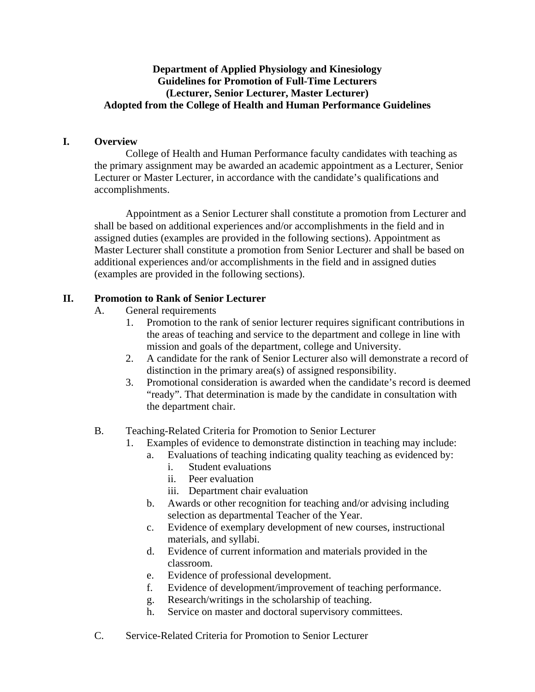### **Department of Applied Physiology and Kinesiology Guidelines for Promotion of Full-Time Lecturers (Lecturer, Senior Lecturer, Master Lecturer) Adopted from the College of Health and Human Performance Guidelines**

#### **I. Overview**

 College of Health and Human Performance faculty candidates with teaching as the primary assignment may be awarded an academic appointment as a Lecturer, Senior Lecturer or Master Lecturer, in accordance with the candidate's qualifications and accomplishments.

 Appointment as a Senior Lecturer shall constitute a promotion from Lecturer and shall be based on additional experiences and/or accomplishments in the field and in assigned duties (examples are provided in the following sections). Appointment as Master Lecturer shall constitute a promotion from Senior Lecturer and shall be based on additional experiences and/or accomplishments in the field and in assigned duties (examples are provided in the following sections).

# **II. Promotion to Rank of Senior Lecturer**

- A. General requirements
	- 1. Promotion to the rank of senior lecturer requires significant contributions in the areas of teaching and service to the department and college in line with mission and goals of the department, college and University.
	- 2. A candidate for the rank of Senior Lecturer also will demonstrate a record of distinction in the primary area(s) of assigned responsibility.
	- 3. Promotional consideration is awarded when the candidate's record is deemed "ready". That determination is made by the candidate in consultation with the department chair.
- B. Teaching-Related Criteria for Promotion to Senior Lecturer
	- 1. Examples of evidence to demonstrate distinction in teaching may include:
		- a. Evaluations of teaching indicating quality teaching as evidenced by:
			- i. Student evaluations
			- ii. Peer evaluation
			- iii. Department chair evaluation
		- b. Awards or other recognition for teaching and/or advising including selection as departmental Teacher of the Year.
		- c. Evidence of exemplary development of new courses, instructional materials, and syllabi.
		- d. Evidence of current information and materials provided in the classroom.
		- e. Evidence of professional development.
		- f. Evidence of development/improvement of teaching performance.
		- g. Research/writings in the scholarship of teaching.
		- h. Service on master and doctoral supervisory committees.
- C. Service-Related Criteria for Promotion to Senior Lecturer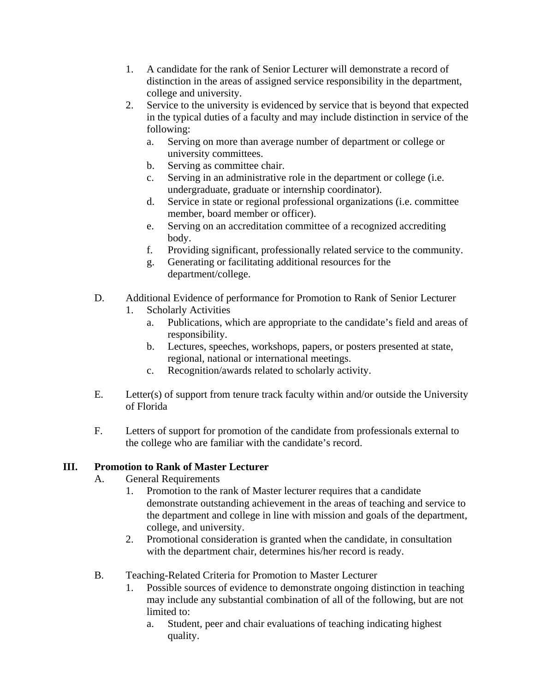- 1. A candidate for the rank of Senior Lecturer will demonstrate a record of distinction in the areas of assigned service responsibility in the department, college and university.
- 2. Service to the university is evidenced by service that is beyond that expected in the typical duties of a faculty and may include distinction in service of the following:
	- a. Serving on more than average number of department or college or university committees.
	- b. Serving as committee chair.
	- c. Serving in an administrative role in the department or college (i.e. undergraduate, graduate or internship coordinator).
	- d. Service in state or regional professional organizations (i.e. committee member, board member or officer).
	- e. Serving on an accreditation committee of a recognized accrediting body.
	- f. Providing significant, professionally related service to the community.
	- g. Generating or facilitating additional resources for the department/college.
- D. Additional Evidence of performance for Promotion to Rank of Senior Lecturer
	- 1. Scholarly Activities
		- a. Publications, which are appropriate to the candidate's field and areas of responsibility.
		- b. Lectures, speeches, workshops, papers, or posters presented at state, regional, national or international meetings.
		- c. Recognition/awards related to scholarly activity.
- E. Letter(s) of support from tenure track faculty within and/or outside the University of Florida
- F. Letters of support for promotion of the candidate from professionals external to the college who are familiar with the candidate's record.

# **III. Promotion to Rank of Master Lecturer**

- A. General Requirements
	- 1. Promotion to the rank of Master lecturer requires that a candidate demonstrate outstanding achievement in the areas of teaching and service to the department and college in line with mission and goals of the department, college, and university.
	- 2. Promotional consideration is granted when the candidate, in consultation with the department chair, determines his/her record is ready.
- B. Teaching-Related Criteria for Promotion to Master Lecturer
	- 1. Possible sources of evidence to demonstrate ongoing distinction in teaching may include any substantial combination of all of the following, but are not limited to:
		- a. Student, peer and chair evaluations of teaching indicating highest quality.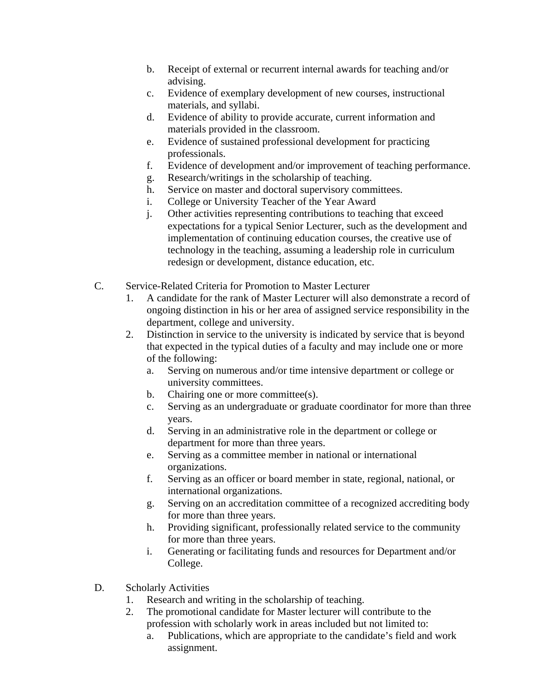- b. Receipt of external or recurrent internal awards for teaching and/or advising.
- c. Evidence of exemplary development of new courses, instructional materials, and syllabi.
- d. Evidence of ability to provide accurate, current information and materials provided in the classroom.
- e. Evidence of sustained professional development for practicing professionals.
- f. Evidence of development and/or improvement of teaching performance.
- g. Research/writings in the scholarship of teaching.
- h. Service on master and doctoral supervisory committees.
- i. College or University Teacher of the Year Award
- j. Other activities representing contributions to teaching that exceed expectations for a typical Senior Lecturer, such as the development and implementation of continuing education courses, the creative use of technology in the teaching, assuming a leadership role in curriculum redesign or development, distance education, etc.
- C. Service-Related Criteria for Promotion to Master Lecturer
	- 1. A candidate for the rank of Master Lecturer will also demonstrate a record of ongoing distinction in his or her area of assigned service responsibility in the department, college and university.
	- 2. Distinction in service to the university is indicated by service that is beyond that expected in the typical duties of a faculty and may include one or more of the following:
		- a. Serving on numerous and/or time intensive department or college or university committees.
		- b. Chairing one or more committee(s).
		- c. Serving as an undergraduate or graduate coordinator for more than three years.
		- d. Serving in an administrative role in the department or college or department for more than three years.
		- e. Serving as a committee member in national or international organizations.
		- f. Serving as an officer or board member in state, regional, national, or international organizations.
		- g. Serving on an accreditation committee of a recognized accrediting body for more than three years.
		- h. Providing significant, professionally related service to the community for more than three years.
		- i. Generating or facilitating funds and resources for Department and/or College.
- D. Scholarly Activities
	- 1. Research and writing in the scholarship of teaching.
	- 2. The promotional candidate for Master lecturer will contribute to the profession with scholarly work in areas included but not limited to:
		- a. Publications, which are appropriate to the candidate's field and work assignment.